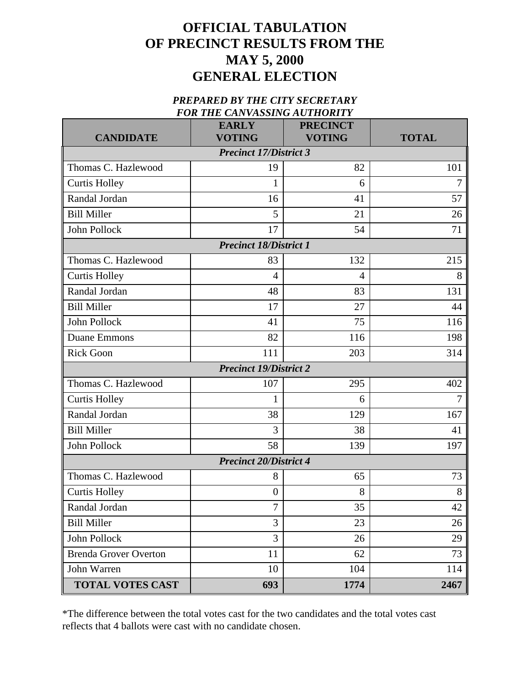## **OFFICIAL TABULATION OF PRECINCT RESULTS FROM THE MAY 5, 2000 GENERAL ELECTION**

## *PREPARED BY THE CITY SECRETARY FOR THE CANVASSING AUTHORITY*

| <b>CANDIDATE</b>              | <b>EARLY</b><br><b>VOTING</b> | <b>PRECINCT</b><br><b>VOTING</b> | <b>TOTAL</b>   |  |  |
|-------------------------------|-------------------------------|----------------------------------|----------------|--|--|
| <b>Precinct 17/District 3</b> |                               |                                  |                |  |  |
| Thomas C. Hazlewood           | 19                            | 82                               | 101            |  |  |
| <b>Curtis Holley</b>          | 1                             | 6                                | 7              |  |  |
| Randal Jordan                 | 16                            | 41                               | 57             |  |  |
| <b>Bill Miller</b>            | 5                             | 21                               | 26             |  |  |
| John Pollock                  | 17                            | 54                               | 71             |  |  |
| <b>Precinct 18/District 1</b> |                               |                                  |                |  |  |
| Thomas C. Hazlewood           | 83                            | 132                              | 215            |  |  |
| <b>Curtis Holley</b>          | 4                             | 4                                | 8              |  |  |
| Randal Jordan                 | 48                            | 83                               | 131            |  |  |
| <b>Bill Miller</b>            | 17                            | 27                               | 44             |  |  |
| John Pollock                  | 41                            | 75                               | 116            |  |  |
| <b>Duane Emmons</b>           | 82                            | 116                              | 198            |  |  |
| <b>Rick Goon</b>              | 111                           | 203                              | 314            |  |  |
| <b>Precinct 19/District 2</b> |                               |                                  |                |  |  |
| Thomas C. Hazlewood           | 107                           | 295                              | 402            |  |  |
| <b>Curtis Holley</b>          | 1                             | 6                                | $\overline{7}$ |  |  |
| Randal Jordan                 | 38                            | 129                              | 167            |  |  |
| <b>Bill Miller</b>            | 3                             | 38                               | 41             |  |  |
| John Pollock                  | 58                            | 139                              | 197            |  |  |
| <b>Precinct 20/District 4</b> |                               |                                  |                |  |  |
| Thomas C. Hazlewood           | 8                             | 65                               | 73             |  |  |
| <b>Curtis Holley</b>          | $\overline{0}$                | 8                                | 8              |  |  |
| Randal Jordan                 | $\boldsymbol{7}$              | 35                               | $42\,$         |  |  |
| <b>Bill Miller</b>            | 3                             | 23                               | 26             |  |  |
| John Pollock                  | 3                             | 26                               | 29             |  |  |
| <b>Brenda Grover Overton</b>  | 11                            | 62                               | 73             |  |  |
| John Warren                   | 10                            | 104                              | 114            |  |  |
| <b>TOTAL VOTES CAST</b>       | 693                           | 1774                             | 2467           |  |  |

\*The difference between the total votes cast for the two candidates and the total votes cast reflects that 4 ballots were cast with no candidate chosen.